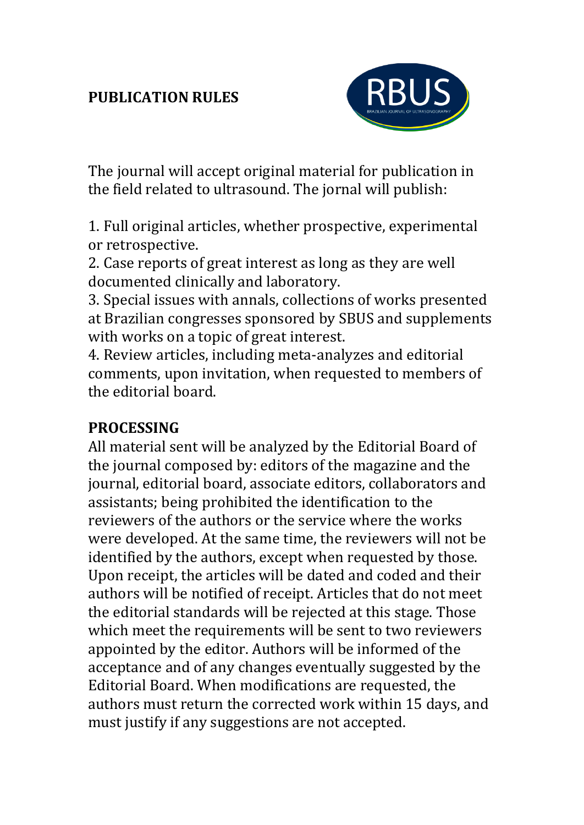## **PUBLICATION RULES**



The journal will accept original material for publication in the field related to ultrasound. The jornal will publish:

1. Full original articles, whether prospective, experimental or retrospective.

2. Case reports of great interest as long as they are well documented clinically and laboratory.

3. Special issues with annals, collections of works presented at Brazilian congresses sponsored by SBUS and supplements with works on a topic of great interest.

4. Review articles, including meta-analyzes and editorial comments, upon invitation, when requested to members of the editorial board.

### **PROCESSING**

All material sent will be analyzed by the Editorial Board of the journal composed by: editors of the magazine and the journal, editorial board, associate editors, collaborators and assistants; being prohibited the identification to the reviewers of the authors or the service where the works were developed. At the same time, the reviewers will not be identified by the authors, except when requested by those. Upon receipt, the articles will be dated and coded and their authors will be notified of receipt. Articles that do not meet the editorial standards will be rejected at this stage. Those which meet the requirements will be sent to two reviewers appointed by the editor. Authors will be informed of the acceptance and of any changes eventually suggested by the Editorial Board. When modifications are requested, the authors must return the corrected work within 15 days, and must justify if any suggestions are not accepted.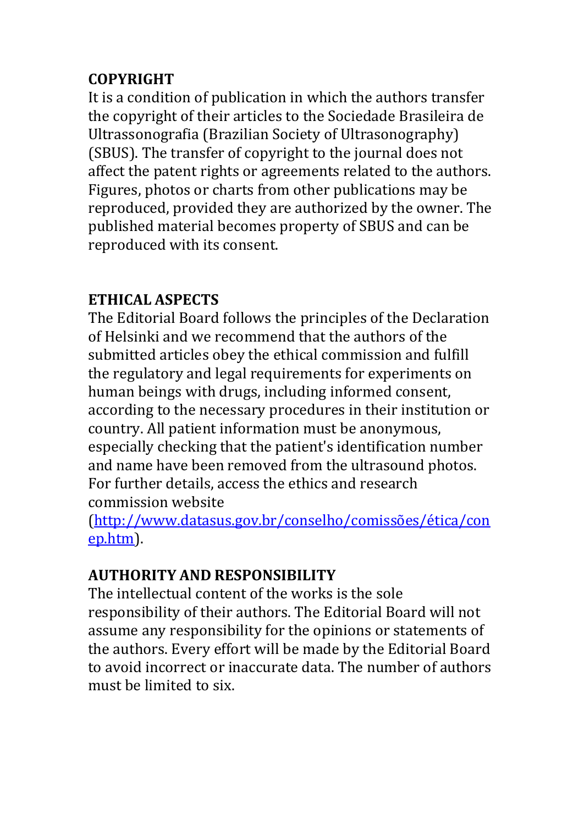# **COPYRIGHT**

It is a condition of publication in which the authors transfer the copyright of their articles to the Sociedade Brasileira de Ultrassonografia (Brazilian Society of Ultrasonography) (SBUS). The transfer of copyright to the journal does not affect the patent rights or agreements related to the authors. Figures, photos or charts from other publications may be reproduced, provided they are authorized by the owner. The published material becomes property of SBUS and can be reproduced with its consent.

# **ETHICAL ASPECTS**

The Editorial Board follows the principles of the Declaration of Helsinki and we recommend that the authors of the submitted articles obey the ethical commission and fulfill the regulatory and legal requirements for experiments on human beings with drugs, including informed consent, according to the necessary procedures in their institution or country. All patient information must be anonymous, especially checking that the patient's identification number and name have been removed from the ultrasound photos. For further details, access the ethics and research commission website

[\(http://www.datasus.gov.br/conselho/comissões/ética/con](http://www.datasus.gov.br/conselho/comissões/ética/conep.htm) [ep.htm\)](http://www.datasus.gov.br/conselho/comissões/ética/conep.htm).

# **AUTHORITY AND RESPONSIBILITY**

The intellectual content of the works is the sole responsibility of their authors. The Editorial Board will not assume any responsibility for the opinions or statements of the authors. Every effort will be made by the Editorial Board to avoid incorrect or inaccurate data. The number of authors must be limited to six.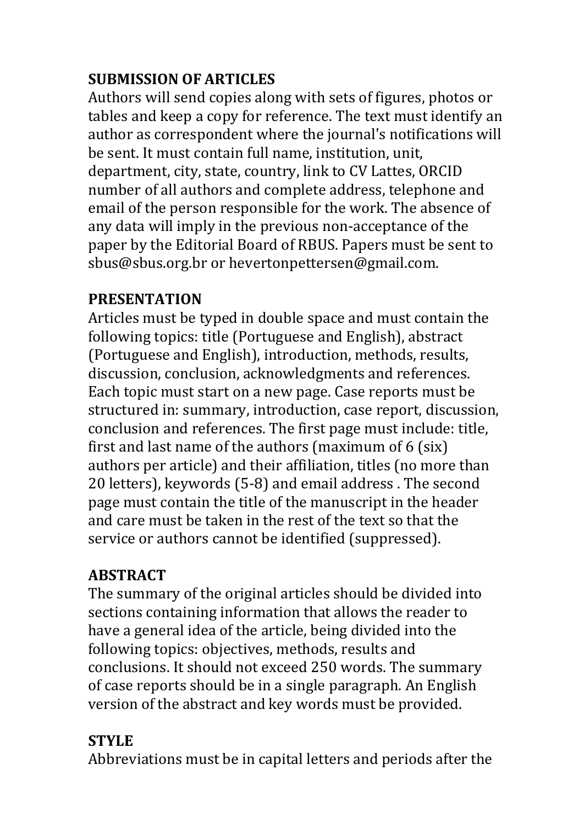# **SUBMISSION OF ARTICLES**

Authors will send copies along with sets of figures, photos or tables and keep a copy for reference. The text must identify an author as correspondent where the journal's notifications will be sent. It must contain full name, institution, unit, department, city, state, country, link to CV Lattes, ORCID number of all authors and complete address, telephone and email of the person responsible for the work. The absence of any data will imply in the previous non-acceptance of the paper by the Editorial Board of RBUS. Papers must be sent to sbus@sbus.org.br or hevertonpettersen@gmail.com.

### **PRESENTATION**

Articles must be typed in double space and must contain the following topics: title (Portuguese and English), abstract (Portuguese and English), introduction, methods, results, discussion, conclusion, acknowledgments and references. Each topic must start on a new page. Case reports must be structured in: summary, introduction, case report, discussion, conclusion and references. The first page must include: title, first and last name of the authors (maximum of 6 (six) authors per article) and their affiliation, titles (no more than 20 letters), keywords (5-8) and email address . The second page must contain the title of the manuscript in the header and care must be taken in the rest of the text so that the service or authors cannot be identified (suppressed).

# **ABSTRACT**

The summary of the original articles should be divided into sections containing information that allows the reader to have a general idea of the article, being divided into the following topics: objectives, methods, results and conclusions. It should not exceed 250 words. The summary of case reports should be in a single paragraph. An English version of the abstract and key words must be provided.

### **STYLE**

Abbreviations must be in capital letters and periods after the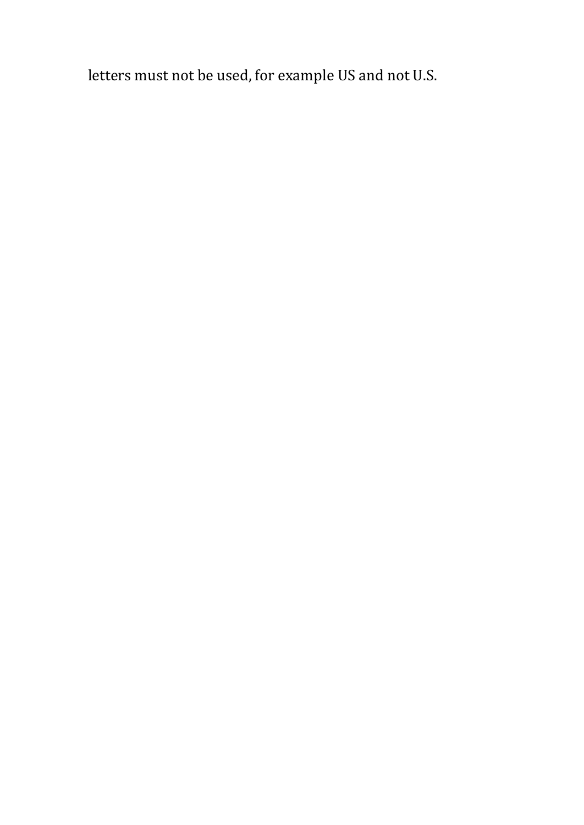letters must not be used, for example US and not U.S.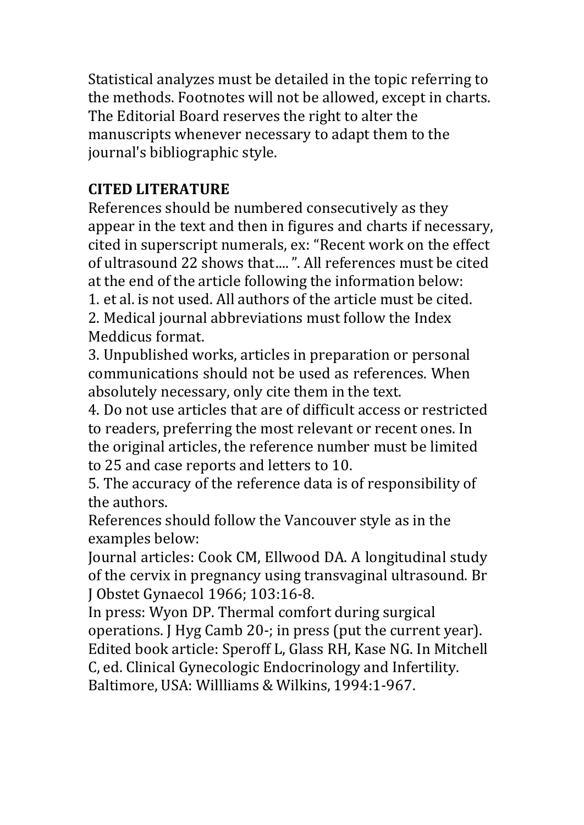Statistical analyzes must be detailed in the topic referring to the methods. Footnotes will not be allowed, except in charts. The Editorial Board reserves the right to alter the manuscripts whenever necessary to adapt them to the journal's bibliographic style.

## **CITED LITERATURE**

References should be numbered consecutively as they appear in the text and then in figures and charts if necessary, cited in superscript numerals, ex: "Recent work on the effect of ultrasound 22 shows that....". All references must be cited at the end of the article following the information below:

1. et al. is not used. All authors of the article must be cited.

2. Medical journal abbreviations must follow the Index Meddicus format.

3. Unpublished works, articles in preparation or personal communications should not be used as references. When absolutely necessary, only cite them in the text.

4. Do not use articles that are of difficult access or restricted to readers, preferring the most relevant or recent ones. In the original articles, the reference number must be limited to 25 and case reports and letters to 10.

5. The accuracy of the reference data is of responsibility of the authors.

References should follow the Vancouver style as in the examples below:

Journal articles: Cook CM, Ellwood DA. A longitudinal study of the cervix in pregnancy using transvaginal ultrasound. Br J Obstet Gynaecol 1966; 103:16-8.

In press: Wyon DP. Thermal comfort during surgical operations. J Hyg Camb 20-; in press (put the current year). Edited book article: Speroff L, Glass RH, Kase NG. In Mitchell C, ed. Clinical Gynecologic Endocrinology and Infertility. Baltimore, USA: Willliams & Wilkins, 1994:1-967.